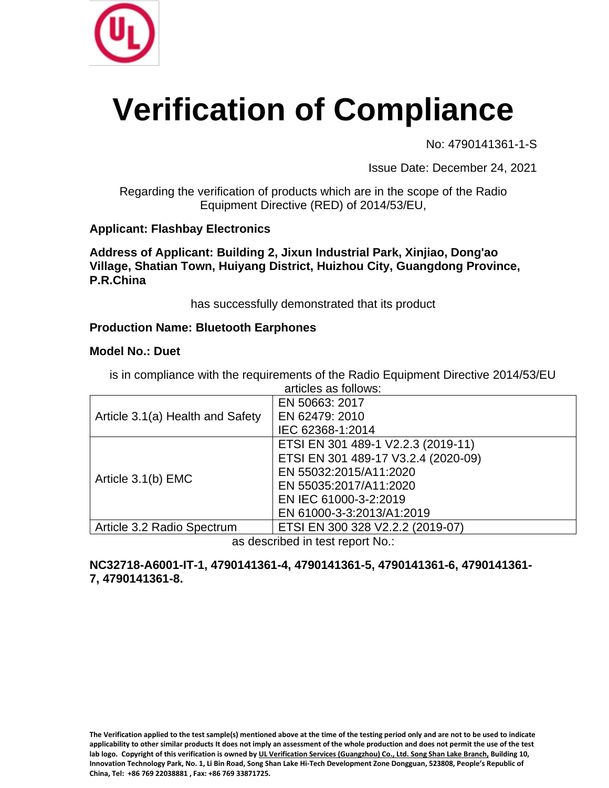

# **Verification of Compliance**

No: 4790141361-1-S

Issue Date: December 24, 2021

Regarding the verification of products which are in the scope of the Radio Equipment Directive (RED) of 2014/53/EU,

# **Applicant: Flashbay Electronics**

**Address of Applicant: Building 2, Jixun Industrial Park, Xinjiao, Dong'ao Village, Shatian Town, Huiyang District, Huizhou City, Guangdong Province, P.R.China**

has successfully demonstrated that its product

# **Production Name: Bluetooth Earphones**

### **Model No.: Duet**

| articles as follows:             |                                     |
|----------------------------------|-------------------------------------|
| Article 3.1(a) Health and Safety | EN 50663: 2017                      |
|                                  | EN 62479: 2010                      |
|                                  | IEC 62368-1:2014                    |
| Article 3.1(b) EMC               | ETSI EN 301 489-1 V2.2.3 (2019-11)  |
|                                  | ETSI EN 301 489-17 V3.2.4 (2020-09) |
|                                  | EN 55032:2015/A11:2020              |
|                                  | EN 55035:2017/A11:2020              |
|                                  | EN IEC 61000-3-2:2019               |
|                                  | EN 61000-3-3:2013/A1:2019           |
| Article 3.2 Radio Spectrum       | ETSI EN 300 328 V2.2.2 (2019-07)    |

is in compliance with the requirements of the Radio Equipment Directive 2014/53/EU

as described in test report No.:

### **NC32718-A6001-IT-1, 4790141361-4, 4790141361-5, 4790141361-6, 4790141361- 7, 4790141361-8.**

**The Verification applied to the test sample(s) mentioned above at the time of the testing period only and are not to be used to indicate applicability to other similar products It does not imply an assessment of the whole production and does not permit the use of the test lab logo. Copyright of this verification is owned by UL Verification Services (Guangzhou) Co., Ltd. Song Shan Lake Branch, Building 10, Innovation Technology Park, No. 1, Li Bin Road, Song Shan Lake Hi-Tech Development Zone Dongguan, 523808, People's Republic of China, Tel: +86 769 22038881 , Fax: +86 769 33871725.**